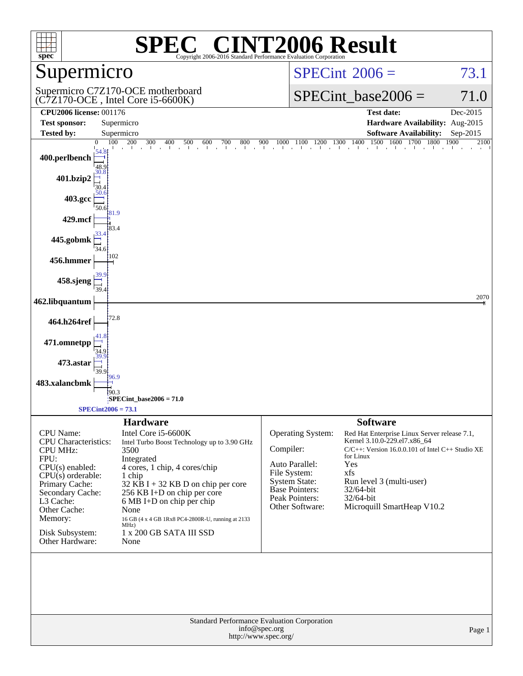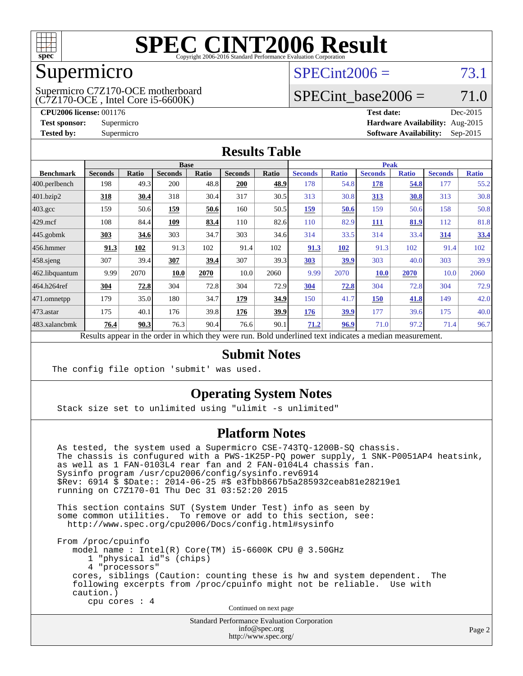

### Supermicro

(C7Z170-OCE , Intel Core i5-6600K) Supermicro C7Z170-OCE motherboard  $SPECint2006 = 73.1$  $SPECint2006 = 73.1$ 

## SPECint base2006 =  $71.0$

**[CPU2006 license:](http://www.spec.org/auto/cpu2006/Docs/result-fields.html#CPU2006license)** 001176 **[Test date:](http://www.spec.org/auto/cpu2006/Docs/result-fields.html#Testdate)** Dec-2015 **[Test sponsor:](http://www.spec.org/auto/cpu2006/Docs/result-fields.html#Testsponsor)** Supermicro **[Hardware Availability:](http://www.spec.org/auto/cpu2006/Docs/result-fields.html#HardwareAvailability)** Aug-2015 **[Tested by:](http://www.spec.org/auto/cpu2006/Docs/result-fields.html#Testedby)** Supermicro **Supermicro [Software Availability:](http://www.spec.org/auto/cpu2006/Docs/result-fields.html#SoftwareAvailability)** Sep-2015

#### **[Results Table](http://www.spec.org/auto/cpu2006/Docs/result-fields.html#ResultsTable)**

|                    |                | <b>Base</b><br><b>Peak</b> |                |              |                |              |                |              |                |              |                |              |
|--------------------|----------------|----------------------------|----------------|--------------|----------------|--------------|----------------|--------------|----------------|--------------|----------------|--------------|
| <b>Benchmark</b>   | <b>Seconds</b> | Ratio                      | <b>Seconds</b> | <b>Ratio</b> | <b>Seconds</b> | <b>Ratio</b> | <b>Seconds</b> | <b>Ratio</b> | <b>Seconds</b> | <b>Ratio</b> | <b>Seconds</b> | <b>Ratio</b> |
| 400.perlbench      | 198            | 49.3                       | 200            | 48.8         | <b>200</b>     | 48.9         | 178            | 54.8         | 178            | 54.8         | 177            | 55.2         |
| 401.bzip2          | 318            | 30.4                       | 318            | 30.4         | 317            | 30.5         | 313            | 30.8         | 313            | 30.8         | 313            | 30.8         |
| $403.\mathrm{gcc}$ | 159            | 50.6                       | 159            | 50.6         | 160            | 50.5         | <u>159</u>     | 50.6         | 159            | 50.6         | 158            | 50.8         |
| $429$ .mcf         | 108            | 84.4                       | 109            | 83.4         | 110            | 82.6         | 110            | 82.9         | <u>111</u>     | <u>81.9</u>  | 112            | 81.8         |
| $445$ .gobmk       | 303            | 34.6                       | 303            | 34.7         | 303            | 34.6         | 314            | 33.5         | 314            | 33.4         | <u>314</u>     | 33.4         |
| $456.$ hmmer       | 91.3           | 102                        | 91.3           | 102          | 91.4           | 102          | 91.3           | 102          | 91.3           | 102          | 91.4           | 102          |
| $458$ .sjeng       | 307            | 39.4                       | 307            | 39.4         | 307            | 39.3         | 303            | 39.9         | 303            | 40.0         | 303            | 39.9         |
| 462.libquantum     | 9.99           | 2070                       | 10.0           | 2070         | 10.0           | 2060         | 9.99           | 2070         | <b>10.0</b>    | 2070         | 10.0           | 2060         |
| 464.h264ref        | 304            | 72.8                       | 304            | 72.8         | 304            | 72.9         | 304            | 72.8         | 304            | 72.8         | 304            | 72.9         |
| 471.omnetpp        | 179            | 35.0                       | 180            | 34.7         | 179            | 34.9         | 150            | 41.7         | 150            | 41.8         | 149            | 42.0         |
| $473$ . astar      | 175            | 40.1                       | 176            | 39.8         | 176            | 39.9         | <u>176</u>     | 39.9         | 177            | 39.6         | 175            | 40.0         |
| 483.xalancbmk      | 76.4           | 90.3                       | 76.3           | 90.4         | 76.6           | 90.1         | 71.2           | 96.9         | 71.0           | 97.2         | 71.4           | 96.7         |
| $\mathbf{r}$       | $\mathbf{1}$ . |                            |                |              |                |              |                | $\cdot$      | $\cdot$        |              |                |              |

Results appear in the [order in which they were run.](http://www.spec.org/auto/cpu2006/Docs/result-fields.html#RunOrder) Bold underlined text [indicates a median measurement.](http://www.spec.org/auto/cpu2006/Docs/result-fields.html#Median)

### **[Submit Notes](http://www.spec.org/auto/cpu2006/Docs/result-fields.html#SubmitNotes)**

The config file option 'submit' was used.

### **[Operating System Notes](http://www.spec.org/auto/cpu2006/Docs/result-fields.html#OperatingSystemNotes)**

Stack size set to unlimited using "ulimit -s unlimited"

### **[Platform Notes](http://www.spec.org/auto/cpu2006/Docs/result-fields.html#PlatformNotes)**

 As tested, the system used a Supermicro CSE-743TQ-1200B-SQ chassis. The chassis is confugured with a PWS-1K25P-PQ power supply, 1 SNK-P0051AP4 heatsink, as well as 1 FAN-0103L4 rear fan and 2 FAN-0104L4 chassis fan. Sysinfo program /usr/cpu2006/config/sysinfo.rev6914 \$Rev: 6914 \$ \$Date:: 2014-06-25 #\$ e3fbb8667b5a285932ceab81e28219e1 running on C7Z170-01 Thu Dec 31 03:52:20 2015

 This section contains SUT (System Under Test) info as seen by some common utilities. To remove or add to this section, see: <http://www.spec.org/cpu2006/Docs/config.html#sysinfo>

 From /proc/cpuinfo model name : Intel(R) Core(TM) i5-6600K CPU @ 3.50GHz 1 "physical id"s (chips) 4 "processors" cores, siblings (Caution: counting these is hw and system dependent. The following excerpts from /proc/cpuinfo might not be reliable. Use with caution.) cpu cores : 4

Continued on next page

Standard Performance Evaluation Corporation [info@spec.org](mailto:info@spec.org) <http://www.spec.org/>

Page 2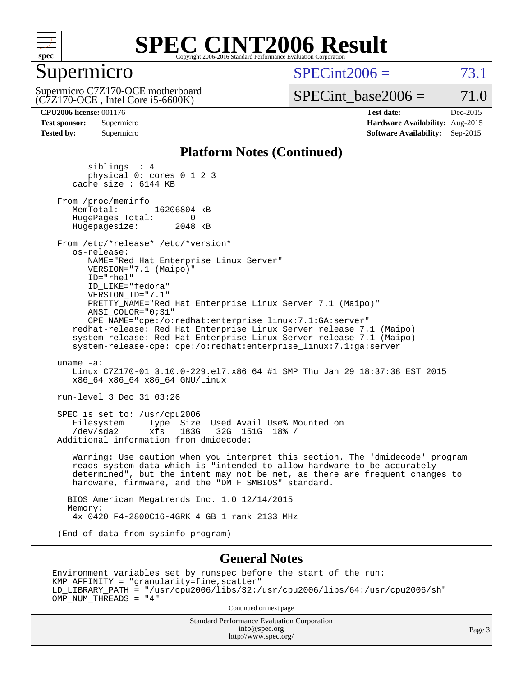

### Supermicro

 $SPECint2006 = 73.1$  $SPECint2006 = 73.1$ 

(C7Z170-OCE , Intel Core i5-6600K) Supermicro C7Z170-OCE motherboard  $SPECTnt\_base2006 = 71.0$ 

**[CPU2006 license:](http://www.spec.org/auto/cpu2006/Docs/result-fields.html#CPU2006license)** 001176 **[Test date:](http://www.spec.org/auto/cpu2006/Docs/result-fields.html#Testdate)** Dec-2015 **[Test sponsor:](http://www.spec.org/auto/cpu2006/Docs/result-fields.html#Testsponsor)** Supermicro **[Hardware Availability:](http://www.spec.org/auto/cpu2006/Docs/result-fields.html#HardwareAvailability)** Aug-2015 **[Tested by:](http://www.spec.org/auto/cpu2006/Docs/result-fields.html#Testedby)** Supermicro **Supermicro [Software Availability:](http://www.spec.org/auto/cpu2006/Docs/result-fields.html#SoftwareAvailability)** Sep-2015

#### **[Platform Notes \(Continued\)](http://www.spec.org/auto/cpu2006/Docs/result-fields.html#PlatformNotes)**

 siblings : 4 physical 0: cores 0 1 2 3 cache size : 6144 KB From /proc/meminfo<br>MemTotal: 16206804 kB HugePages\_Total: 0<br>Hugepagesize: 2048 kB Hugepagesize: From /etc/\*release\* /etc/\*version\* os-release: NAME="Red Hat Enterprise Linux Server" VERSION="7.1 (Maipo)" ID="rhel" ID\_LIKE="fedora" VERSION\_ID="7.1" PRETTY\_NAME="Red Hat Enterprise Linux Server 7.1 (Maipo)" ANSI\_COLOR="0;31" CPE\_NAME="cpe:/o:redhat:enterprise\_linux:7.1:GA:server" redhat-release: Red Hat Enterprise Linux Server release 7.1 (Maipo) system-release: Red Hat Enterprise Linux Server release 7.1 (Maipo) system-release-cpe: cpe:/o:redhat:enterprise\_linux:7.1:ga:server uname -a: Linux C7Z170-01 3.10.0-229.el7.x86\_64 #1 SMP Thu Jan 29 18:37:38 EST 2015 x86\_64 x86\_64 x86\_64 GNU/Linux run-level 3 Dec 31 03:26 SPEC is set to: /usr/cpu2006 Filesystem Type Size Used Avail Use% Mounted on<br>
/dev/sda2 xfs 183G 32G 151G 18% / /dev/sda2 xfs 183G 32G 151G 18% / Additional information from dmidecode: Warning: Use caution when you interpret this section. The 'dmidecode' program reads system data which is "intended to allow hardware to be accurately determined", but the intent may not be met, as there are frequent changes to hardware, firmware, and the "DMTF SMBIOS" standard. BIOS American Megatrends Inc. 1.0 12/14/2015 Memory: 4x 0420 F4-2800C16-4GRK 4 GB 1 rank 2133 MHz (End of data from sysinfo program) **[General Notes](http://www.spec.org/auto/cpu2006/Docs/result-fields.html#GeneralNotes)**

Environment variables set by runspec before the start of the run: KMP\_AFFINITY = "granularity=fine,scatter" LD\_LIBRARY\_PATH = "/usr/cpu2006/libs/32:/usr/cpu2006/libs/64:/usr/cpu2006/sh" OMP\_NUM\_THREADS = "4"

Continued on next page

Standard Performance Evaluation Corporation [info@spec.org](mailto:info@spec.org) <http://www.spec.org/>

Page 3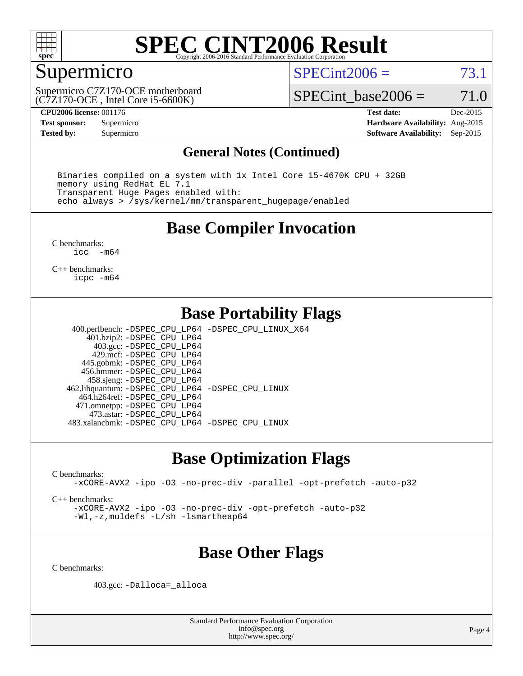

### Supermicro

 $SPECint2006 = 73.1$  $SPECint2006 = 73.1$ 

(C7Z170-OCE , Intel Core i5-6600K) Supermicro C7Z170-OCE motherboard SPECint base2006 =  $71.0$ 

**[CPU2006 license:](http://www.spec.org/auto/cpu2006/Docs/result-fields.html#CPU2006license)** 001176 **[Test date:](http://www.spec.org/auto/cpu2006/Docs/result-fields.html#Testdate)** Dec-2015 **[Test sponsor:](http://www.spec.org/auto/cpu2006/Docs/result-fields.html#Testsponsor)** Supermicro **[Hardware Availability:](http://www.spec.org/auto/cpu2006/Docs/result-fields.html#HardwareAvailability)** Aug-2015 **[Tested by:](http://www.spec.org/auto/cpu2006/Docs/result-fields.html#Testedby)** Supermicro **Supermicro [Software Availability:](http://www.spec.org/auto/cpu2006/Docs/result-fields.html#SoftwareAvailability)** Sep-2015

### **[General Notes \(Continued\)](http://www.spec.org/auto/cpu2006/Docs/result-fields.html#GeneralNotes)**

 Binaries compiled on a system with 1x Intel Core i5-4670K CPU + 32GB memory using RedHat EL 7.1 Transparent Huge Pages enabled with: echo always > /sys/kernel/mm/transparent\_hugepage/enabled

### **[Base Compiler Invocation](http://www.spec.org/auto/cpu2006/Docs/result-fields.html#BaseCompilerInvocation)**

[C benchmarks](http://www.spec.org/auto/cpu2006/Docs/result-fields.html#Cbenchmarks):<br> $\frac{1}{2}$ cc  $-m64$ 

[C++ benchmarks:](http://www.spec.org/auto/cpu2006/Docs/result-fields.html#CXXbenchmarks) [icpc -m64](http://www.spec.org/cpu2006/results/res2016q1/cpu2006-20160106-38550.flags.html#user_CXXbase_intel_icpc_64bit_fc66a5337ce925472a5c54ad6a0de310)

### **[Base Portability Flags](http://www.spec.org/auto/cpu2006/Docs/result-fields.html#BasePortabilityFlags)**

 400.perlbench: [-DSPEC\\_CPU\\_LP64](http://www.spec.org/cpu2006/results/res2016q1/cpu2006-20160106-38550.flags.html#b400.perlbench_basePORTABILITY_DSPEC_CPU_LP64) [-DSPEC\\_CPU\\_LINUX\\_X64](http://www.spec.org/cpu2006/results/res2016q1/cpu2006-20160106-38550.flags.html#b400.perlbench_baseCPORTABILITY_DSPEC_CPU_LINUX_X64) 401.bzip2: [-DSPEC\\_CPU\\_LP64](http://www.spec.org/cpu2006/results/res2016q1/cpu2006-20160106-38550.flags.html#suite_basePORTABILITY401_bzip2_DSPEC_CPU_LP64) 403.gcc: [-DSPEC\\_CPU\\_LP64](http://www.spec.org/cpu2006/results/res2016q1/cpu2006-20160106-38550.flags.html#suite_basePORTABILITY403_gcc_DSPEC_CPU_LP64) 429.mcf: [-DSPEC\\_CPU\\_LP64](http://www.spec.org/cpu2006/results/res2016q1/cpu2006-20160106-38550.flags.html#suite_basePORTABILITY429_mcf_DSPEC_CPU_LP64) 445.gobmk: [-DSPEC\\_CPU\\_LP64](http://www.spec.org/cpu2006/results/res2016q1/cpu2006-20160106-38550.flags.html#suite_basePORTABILITY445_gobmk_DSPEC_CPU_LP64) 456.hmmer: [-DSPEC\\_CPU\\_LP64](http://www.spec.org/cpu2006/results/res2016q1/cpu2006-20160106-38550.flags.html#suite_basePORTABILITY456_hmmer_DSPEC_CPU_LP64) 458.sjeng: [-DSPEC\\_CPU\\_LP64](http://www.spec.org/cpu2006/results/res2016q1/cpu2006-20160106-38550.flags.html#suite_basePORTABILITY458_sjeng_DSPEC_CPU_LP64) 462.libquantum: [-DSPEC\\_CPU\\_LP64](http://www.spec.org/cpu2006/results/res2016q1/cpu2006-20160106-38550.flags.html#suite_basePORTABILITY462_libquantum_DSPEC_CPU_LP64) [-DSPEC\\_CPU\\_LINUX](http://www.spec.org/cpu2006/results/res2016q1/cpu2006-20160106-38550.flags.html#b462.libquantum_baseCPORTABILITY_DSPEC_CPU_LINUX) 464.h264ref: [-DSPEC\\_CPU\\_LP64](http://www.spec.org/cpu2006/results/res2016q1/cpu2006-20160106-38550.flags.html#suite_basePORTABILITY464_h264ref_DSPEC_CPU_LP64) 471.omnetpp: [-DSPEC\\_CPU\\_LP64](http://www.spec.org/cpu2006/results/res2016q1/cpu2006-20160106-38550.flags.html#suite_basePORTABILITY471_omnetpp_DSPEC_CPU_LP64) 473.astar: [-DSPEC\\_CPU\\_LP64](http://www.spec.org/cpu2006/results/res2016q1/cpu2006-20160106-38550.flags.html#suite_basePORTABILITY473_astar_DSPEC_CPU_LP64) 483.xalancbmk: [-DSPEC\\_CPU\\_LP64](http://www.spec.org/cpu2006/results/res2016q1/cpu2006-20160106-38550.flags.html#suite_basePORTABILITY483_xalancbmk_DSPEC_CPU_LP64) [-DSPEC\\_CPU\\_LINUX](http://www.spec.org/cpu2006/results/res2016q1/cpu2006-20160106-38550.flags.html#b483.xalancbmk_baseCXXPORTABILITY_DSPEC_CPU_LINUX)

### **[Base Optimization Flags](http://www.spec.org/auto/cpu2006/Docs/result-fields.html#BaseOptimizationFlags)**

[C benchmarks](http://www.spec.org/auto/cpu2006/Docs/result-fields.html#Cbenchmarks):

[-xCORE-AVX2](http://www.spec.org/cpu2006/results/res2016q1/cpu2006-20160106-38550.flags.html#user_CCbase_f-xAVX2_5f5fc0cbe2c9f62c816d3e45806c70d7) [-ipo](http://www.spec.org/cpu2006/results/res2016q1/cpu2006-20160106-38550.flags.html#user_CCbase_f-ipo) [-O3](http://www.spec.org/cpu2006/results/res2016q1/cpu2006-20160106-38550.flags.html#user_CCbase_f-O3) [-no-prec-div](http://www.spec.org/cpu2006/results/res2016q1/cpu2006-20160106-38550.flags.html#user_CCbase_f-no-prec-div) [-parallel](http://www.spec.org/cpu2006/results/res2016q1/cpu2006-20160106-38550.flags.html#user_CCbase_f-parallel) [-opt-prefetch](http://www.spec.org/cpu2006/results/res2016q1/cpu2006-20160106-38550.flags.html#user_CCbase_f-opt-prefetch) [-auto-p32](http://www.spec.org/cpu2006/results/res2016q1/cpu2006-20160106-38550.flags.html#user_CCbase_f-auto-p32)

[C++ benchmarks:](http://www.spec.org/auto/cpu2006/Docs/result-fields.html#CXXbenchmarks)

[-xCORE-AVX2](http://www.spec.org/cpu2006/results/res2016q1/cpu2006-20160106-38550.flags.html#user_CXXbase_f-xAVX2_5f5fc0cbe2c9f62c816d3e45806c70d7) [-ipo](http://www.spec.org/cpu2006/results/res2016q1/cpu2006-20160106-38550.flags.html#user_CXXbase_f-ipo) [-O3](http://www.spec.org/cpu2006/results/res2016q1/cpu2006-20160106-38550.flags.html#user_CXXbase_f-O3) [-no-prec-div](http://www.spec.org/cpu2006/results/res2016q1/cpu2006-20160106-38550.flags.html#user_CXXbase_f-no-prec-div) [-opt-prefetch](http://www.spec.org/cpu2006/results/res2016q1/cpu2006-20160106-38550.flags.html#user_CXXbase_f-opt-prefetch) [-auto-p32](http://www.spec.org/cpu2006/results/res2016q1/cpu2006-20160106-38550.flags.html#user_CXXbase_f-auto-p32) [-Wl,-z,muldefs](http://www.spec.org/cpu2006/results/res2016q1/cpu2006-20160106-38550.flags.html#user_CXXbase_link_force_multiple1_74079c344b956b9658436fd1b6dd3a8a) [-L/sh -lsmartheap64](http://www.spec.org/cpu2006/results/res2016q1/cpu2006-20160106-38550.flags.html#user_CXXbase_SmartHeap64_ed4ef857ce90951921efb0d91eb88472)

### **[Base Other Flags](http://www.spec.org/auto/cpu2006/Docs/result-fields.html#BaseOtherFlags)**

[C benchmarks](http://www.spec.org/auto/cpu2006/Docs/result-fields.html#Cbenchmarks):

403.gcc: [-Dalloca=\\_alloca](http://www.spec.org/cpu2006/results/res2016q1/cpu2006-20160106-38550.flags.html#b403.gcc_baseEXTRA_CFLAGS_Dalloca_be3056838c12de2578596ca5467af7f3)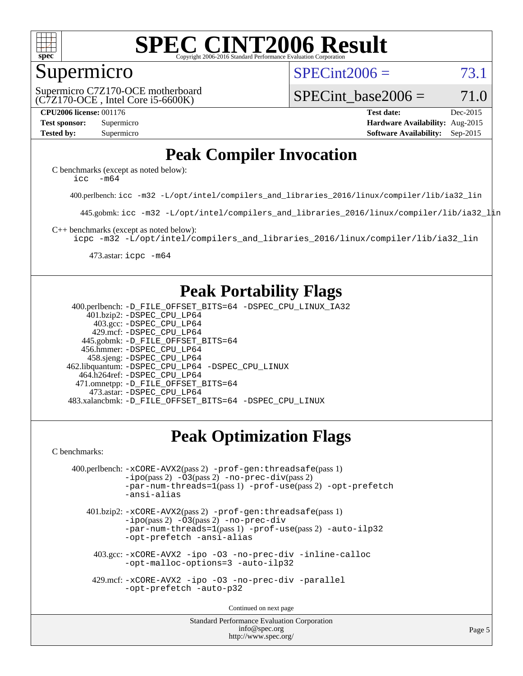

### Supermicro

 $SPECint2006 = 73.1$  $SPECint2006 = 73.1$ 

(C7Z170-OCE , Intel Core i5-6600K) Supermicro C7Z170-OCE motherboard

SPECint base2006 =  $71.0$ 

**[CPU2006 license:](http://www.spec.org/auto/cpu2006/Docs/result-fields.html#CPU2006license)** 001176 **[Test date:](http://www.spec.org/auto/cpu2006/Docs/result-fields.html#Testdate)** Dec-2015 **[Test sponsor:](http://www.spec.org/auto/cpu2006/Docs/result-fields.html#Testsponsor)** Supermicro **[Hardware Availability:](http://www.spec.org/auto/cpu2006/Docs/result-fields.html#HardwareAvailability)** Aug-2015 **[Tested by:](http://www.spec.org/auto/cpu2006/Docs/result-fields.html#Testedby)** Supermicro **Supermicro [Software Availability:](http://www.spec.org/auto/cpu2006/Docs/result-fields.html#SoftwareAvailability)** Sep-2015

### **[Peak Compiler Invocation](http://www.spec.org/auto/cpu2006/Docs/result-fields.html#PeakCompilerInvocation)**

[C benchmarks \(except as noted below\)](http://www.spec.org/auto/cpu2006/Docs/result-fields.html#Cbenchmarksexceptasnotedbelow): icc  $-m64$ 

400.perlbench: [icc -m32 -L/opt/intel/compilers\\_and\\_libraries\\_2016/linux/compiler/lib/ia32\\_lin](http://www.spec.org/cpu2006/results/res2016q1/cpu2006-20160106-38550.flags.html#user_peakCCLD400_perlbench_intel_icc_e10256ba5924b668798078a321b0cb3f)

445.gobmk: [icc -m32 -L/opt/intel/compilers\\_and\\_libraries\\_2016/linux/compiler/lib/ia32\\_lin](http://www.spec.org/cpu2006/results/res2016q1/cpu2006-20160106-38550.flags.html#user_peakCCLD445_gobmk_intel_icc_e10256ba5924b668798078a321b0cb3f)

[C++ benchmarks \(except as noted below\):](http://www.spec.org/auto/cpu2006/Docs/result-fields.html#CXXbenchmarksexceptasnotedbelow)

[icpc -m32 -L/opt/intel/compilers\\_and\\_libraries\\_2016/linux/compiler/lib/ia32\\_lin](http://www.spec.org/cpu2006/results/res2016q1/cpu2006-20160106-38550.flags.html#user_CXXpeak_intel_icpc_b4f50a394bdb4597aa5879c16bc3f5c5)

473.astar: [icpc -m64](http://www.spec.org/cpu2006/results/res2016q1/cpu2006-20160106-38550.flags.html#user_peakCXXLD473_astar_intel_icpc_64bit_fc66a5337ce925472a5c54ad6a0de310)

### **[Peak Portability Flags](http://www.spec.org/auto/cpu2006/Docs/result-fields.html#PeakPortabilityFlags)**

 400.perlbench: [-D\\_FILE\\_OFFSET\\_BITS=64](http://www.spec.org/cpu2006/results/res2016q1/cpu2006-20160106-38550.flags.html#user_peakPORTABILITY400_perlbench_file_offset_bits_64_438cf9856305ebd76870a2c6dc2689ab) [-DSPEC\\_CPU\\_LINUX\\_IA32](http://www.spec.org/cpu2006/results/res2016q1/cpu2006-20160106-38550.flags.html#b400.perlbench_peakCPORTABILITY_DSPEC_CPU_LINUX_IA32) 401.bzip2: [-DSPEC\\_CPU\\_LP64](http://www.spec.org/cpu2006/results/res2016q1/cpu2006-20160106-38550.flags.html#suite_peakPORTABILITY401_bzip2_DSPEC_CPU_LP64) 403.gcc: [-DSPEC\\_CPU\\_LP64](http://www.spec.org/cpu2006/results/res2016q1/cpu2006-20160106-38550.flags.html#suite_peakPORTABILITY403_gcc_DSPEC_CPU_LP64) 429.mcf: [-DSPEC\\_CPU\\_LP64](http://www.spec.org/cpu2006/results/res2016q1/cpu2006-20160106-38550.flags.html#suite_peakPORTABILITY429_mcf_DSPEC_CPU_LP64) 445.gobmk: [-D\\_FILE\\_OFFSET\\_BITS=64](http://www.spec.org/cpu2006/results/res2016q1/cpu2006-20160106-38550.flags.html#user_peakPORTABILITY445_gobmk_file_offset_bits_64_438cf9856305ebd76870a2c6dc2689ab) 456.hmmer: [-DSPEC\\_CPU\\_LP64](http://www.spec.org/cpu2006/results/res2016q1/cpu2006-20160106-38550.flags.html#suite_peakPORTABILITY456_hmmer_DSPEC_CPU_LP64) 458.sjeng: [-DSPEC\\_CPU\\_LP64](http://www.spec.org/cpu2006/results/res2016q1/cpu2006-20160106-38550.flags.html#suite_peakPORTABILITY458_sjeng_DSPEC_CPU_LP64) 462.libquantum: [-DSPEC\\_CPU\\_LP64](http://www.spec.org/cpu2006/results/res2016q1/cpu2006-20160106-38550.flags.html#suite_peakPORTABILITY462_libquantum_DSPEC_CPU_LP64) [-DSPEC\\_CPU\\_LINUX](http://www.spec.org/cpu2006/results/res2016q1/cpu2006-20160106-38550.flags.html#b462.libquantum_peakCPORTABILITY_DSPEC_CPU_LINUX) 464.h264ref: [-DSPEC\\_CPU\\_LP64](http://www.spec.org/cpu2006/results/res2016q1/cpu2006-20160106-38550.flags.html#suite_peakPORTABILITY464_h264ref_DSPEC_CPU_LP64) 471.omnetpp: [-D\\_FILE\\_OFFSET\\_BITS=64](http://www.spec.org/cpu2006/results/res2016q1/cpu2006-20160106-38550.flags.html#user_peakPORTABILITY471_omnetpp_file_offset_bits_64_438cf9856305ebd76870a2c6dc2689ab) 473.astar: [-DSPEC\\_CPU\\_LP64](http://www.spec.org/cpu2006/results/res2016q1/cpu2006-20160106-38550.flags.html#suite_peakPORTABILITY473_astar_DSPEC_CPU_LP64) 483.xalancbmk: [-D\\_FILE\\_OFFSET\\_BITS=64](http://www.spec.org/cpu2006/results/res2016q1/cpu2006-20160106-38550.flags.html#user_peakPORTABILITY483_xalancbmk_file_offset_bits_64_438cf9856305ebd76870a2c6dc2689ab) [-DSPEC\\_CPU\\_LINUX](http://www.spec.org/cpu2006/results/res2016q1/cpu2006-20160106-38550.flags.html#b483.xalancbmk_peakCXXPORTABILITY_DSPEC_CPU_LINUX)

### **[Peak Optimization Flags](http://www.spec.org/auto/cpu2006/Docs/result-fields.html#PeakOptimizationFlags)**

[C benchmarks](http://www.spec.org/auto/cpu2006/Docs/result-fields.html#Cbenchmarks):

```
 400.perlbench: -xCORE-AVX2(pass 2) -prof-gen:threadsafe(pass 1)
             -i\text{po}(pass 2) -\overline{0}3(pass 2)-no-prec-div(pass 2)
             -par-num-threads=1(pass 1) -prof-use(pass 2) -opt-prefetch
             -ansi-alias
```
 401.bzip2: [-xCORE-AVX2](http://www.spec.org/cpu2006/results/res2016q1/cpu2006-20160106-38550.flags.html#user_peakPASS2_CFLAGSPASS2_LDCFLAGS401_bzip2_f-xAVX2_5f5fc0cbe2c9f62c816d3e45806c70d7)(pass 2) [-prof-gen:threadsafe](http://www.spec.org/cpu2006/results/res2016q1/cpu2006-20160106-38550.flags.html#user_peakPASS1_CFLAGSPASS1_LDCFLAGS401_bzip2_prof_gen_21a26eb79f378b550acd7bec9fe4467a)(pass 1)  $-i\text{po}(pass 2) -03(pass 2) -no-prec-div$  $-i\text{po}(pass 2) -03(pass 2) -no-prec-div$ [-par-num-threads=1](http://www.spec.org/cpu2006/results/res2016q1/cpu2006-20160106-38550.flags.html#user_peakPASS1_CFLAGSPASS1_LDCFLAGS401_bzip2_par_num_threads_786a6ff141b4e9e90432e998842df6c2)(pass 1) [-prof-use](http://www.spec.org/cpu2006/results/res2016q1/cpu2006-20160106-38550.flags.html#user_peakPASS2_CFLAGSPASS2_LDCFLAGS401_bzip2_prof_use_bccf7792157ff70d64e32fe3e1250b55)(pass 2) [-auto-ilp32](http://www.spec.org/cpu2006/results/res2016q1/cpu2006-20160106-38550.flags.html#user_peakCOPTIMIZE401_bzip2_f-auto-ilp32) [-opt-prefetch](http://www.spec.org/cpu2006/results/res2016q1/cpu2006-20160106-38550.flags.html#user_peakCOPTIMIZE401_bzip2_f-opt-prefetch) [-ansi-alias](http://www.spec.org/cpu2006/results/res2016q1/cpu2006-20160106-38550.flags.html#user_peakCOPTIMIZE401_bzip2_f-ansi-alias)

 403.gcc: [-xCORE-AVX2](http://www.spec.org/cpu2006/results/res2016q1/cpu2006-20160106-38550.flags.html#user_peakCOPTIMIZE403_gcc_f-xAVX2_5f5fc0cbe2c9f62c816d3e45806c70d7) [-ipo](http://www.spec.org/cpu2006/results/res2016q1/cpu2006-20160106-38550.flags.html#user_peakCOPTIMIZE403_gcc_f-ipo) [-O3](http://www.spec.org/cpu2006/results/res2016q1/cpu2006-20160106-38550.flags.html#user_peakCOPTIMIZE403_gcc_f-O3) [-no-prec-div](http://www.spec.org/cpu2006/results/res2016q1/cpu2006-20160106-38550.flags.html#user_peakCOPTIMIZE403_gcc_f-no-prec-div) [-inline-calloc](http://www.spec.org/cpu2006/results/res2016q1/cpu2006-20160106-38550.flags.html#user_peakCOPTIMIZE403_gcc_f-inline-calloc) [-opt-malloc-options=3](http://www.spec.org/cpu2006/results/res2016q1/cpu2006-20160106-38550.flags.html#user_peakCOPTIMIZE403_gcc_f-opt-malloc-options_13ab9b803cf986b4ee62f0a5998c2238) [-auto-ilp32](http://www.spec.org/cpu2006/results/res2016q1/cpu2006-20160106-38550.flags.html#user_peakCOPTIMIZE403_gcc_f-auto-ilp32)

 429.mcf: [-xCORE-AVX2](http://www.spec.org/cpu2006/results/res2016q1/cpu2006-20160106-38550.flags.html#user_peakCOPTIMIZE429_mcf_f-xAVX2_5f5fc0cbe2c9f62c816d3e45806c70d7) [-ipo](http://www.spec.org/cpu2006/results/res2016q1/cpu2006-20160106-38550.flags.html#user_peakCOPTIMIZE429_mcf_f-ipo) [-O3](http://www.spec.org/cpu2006/results/res2016q1/cpu2006-20160106-38550.flags.html#user_peakCOPTIMIZE429_mcf_f-O3) [-no-prec-div](http://www.spec.org/cpu2006/results/res2016q1/cpu2006-20160106-38550.flags.html#user_peakCOPTIMIZE429_mcf_f-no-prec-div) [-parallel](http://www.spec.org/cpu2006/results/res2016q1/cpu2006-20160106-38550.flags.html#user_peakCOPTIMIZE429_mcf_f-parallel) [-opt-prefetch](http://www.spec.org/cpu2006/results/res2016q1/cpu2006-20160106-38550.flags.html#user_peakCOPTIMIZE429_mcf_f-opt-prefetch) [-auto-p32](http://www.spec.org/cpu2006/results/res2016q1/cpu2006-20160106-38550.flags.html#user_peakCOPTIMIZE429_mcf_f-auto-p32)

Continued on next page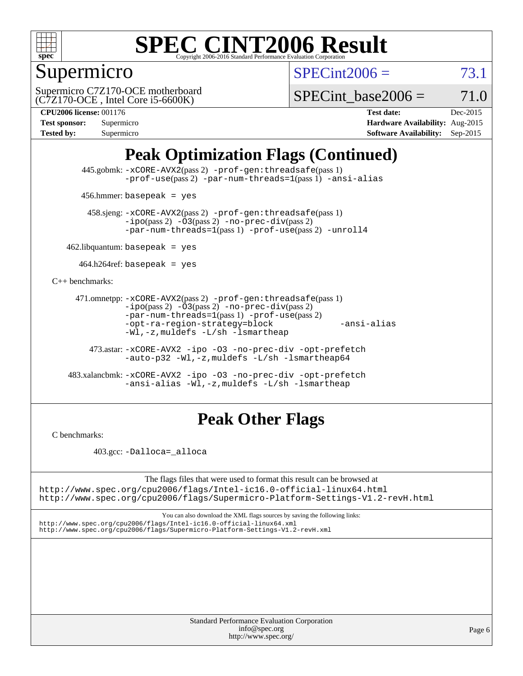

### Supermicro

 $SPECint2006 = 73.1$  $SPECint2006 = 73.1$ 

(C7Z170-OCE , Intel Core i5-6600K) Supermicro C7Z170-OCE motherboard

SPECint base2006 =  $71.0$ 

**[CPU2006 license:](http://www.spec.org/auto/cpu2006/Docs/result-fields.html#CPU2006license)** 001176 **[Test date:](http://www.spec.org/auto/cpu2006/Docs/result-fields.html#Testdate)** Dec-2015 **[Test sponsor:](http://www.spec.org/auto/cpu2006/Docs/result-fields.html#Testsponsor)** Supermicro **[Hardware Availability:](http://www.spec.org/auto/cpu2006/Docs/result-fields.html#HardwareAvailability)** Aug-2015 **[Tested by:](http://www.spec.org/auto/cpu2006/Docs/result-fields.html#Testedby)** Supermicro **Supermicro [Software Availability:](http://www.spec.org/auto/cpu2006/Docs/result-fields.html#SoftwareAvailability)** Sep-2015

## **[Peak Optimization Flags \(Continued\)](http://www.spec.org/auto/cpu2006/Docs/result-fields.html#PeakOptimizationFlags)**

 445.gobmk: [-xCORE-AVX2](http://www.spec.org/cpu2006/results/res2016q1/cpu2006-20160106-38550.flags.html#user_peakPASS2_CFLAGSPASS2_LDCFLAGS445_gobmk_f-xAVX2_5f5fc0cbe2c9f62c816d3e45806c70d7)(pass 2) [-prof-gen:threadsafe](http://www.spec.org/cpu2006/results/res2016q1/cpu2006-20160106-38550.flags.html#user_peakPASS1_CFLAGSPASS1_LDCFLAGS445_gobmk_prof_gen_21a26eb79f378b550acd7bec9fe4467a)(pass 1) [-prof-use](http://www.spec.org/cpu2006/results/res2016q1/cpu2006-20160106-38550.flags.html#user_peakPASS2_CFLAGSPASS2_LDCFLAGS445_gobmk_prof_use_bccf7792157ff70d64e32fe3e1250b55)(pass 2) [-par-num-threads=1](http://www.spec.org/cpu2006/results/res2016q1/cpu2006-20160106-38550.flags.html#user_peakPASS1_CFLAGSPASS1_LDCFLAGS445_gobmk_par_num_threads_786a6ff141b4e9e90432e998842df6c2)(pass 1) [-ansi-alias](http://www.spec.org/cpu2006/results/res2016q1/cpu2006-20160106-38550.flags.html#user_peakCOPTIMIZE445_gobmk_f-ansi-alias)

456.hmmer: basepeak = yes

 458.sjeng: [-xCORE-AVX2](http://www.spec.org/cpu2006/results/res2016q1/cpu2006-20160106-38550.flags.html#user_peakPASS2_CFLAGSPASS2_LDCFLAGS458_sjeng_f-xAVX2_5f5fc0cbe2c9f62c816d3e45806c70d7)(pass 2) [-prof-gen:threadsafe](http://www.spec.org/cpu2006/results/res2016q1/cpu2006-20160106-38550.flags.html#user_peakPASS1_CFLAGSPASS1_LDCFLAGS458_sjeng_prof_gen_21a26eb79f378b550acd7bec9fe4467a)(pass 1)  $-ipo(pass 2) -\overline{03(pass 2)}$  $-ipo(pass 2) -\overline{03(pass 2)}$  [-no-prec-div](http://www.spec.org/cpu2006/results/res2016q1/cpu2006-20160106-38550.flags.html#user_peakPASS2_CFLAGSPASS2_LDCFLAGS458_sjeng_f-no-prec-div)(pass 2) [-par-num-threads=1](http://www.spec.org/cpu2006/results/res2016q1/cpu2006-20160106-38550.flags.html#user_peakPASS1_CFLAGSPASS1_LDCFLAGS458_sjeng_par_num_threads_786a6ff141b4e9e90432e998842df6c2)(pass 1) [-prof-use](http://www.spec.org/cpu2006/results/res2016q1/cpu2006-20160106-38550.flags.html#user_peakPASS2_CFLAGSPASS2_LDCFLAGS458_sjeng_prof_use_bccf7792157ff70d64e32fe3e1250b55)(pass 2) [-unroll4](http://www.spec.org/cpu2006/results/res2016q1/cpu2006-20160106-38550.flags.html#user_peakCOPTIMIZE458_sjeng_f-unroll_4e5e4ed65b7fd20bdcd365bec371b81f)

 $462$ .libquantum: basepeak = yes

 $464.h264$ ref: basepeak = yes

[C++ benchmarks:](http://www.spec.org/auto/cpu2006/Docs/result-fields.html#CXXbenchmarks)

```
 471.omnetpp: -xCORE-AVX2(pass 2) -prof-gen:threadsafe(pass 1)
          -i\text{po}(pass 2) -03(pass 2) -no-prec-div(pass 2)-par-num-threads=1(pass 1) -prof-use(pass 2)
          -opt-ra-region-strategy=block -ansi-alias
          -Wl,-z,muldefs -L/sh -lsmartheap
```
 473.astar: [-xCORE-AVX2](http://www.spec.org/cpu2006/results/res2016q1/cpu2006-20160106-38550.flags.html#user_peakCXXOPTIMIZE473_astar_f-xAVX2_5f5fc0cbe2c9f62c816d3e45806c70d7) [-ipo](http://www.spec.org/cpu2006/results/res2016q1/cpu2006-20160106-38550.flags.html#user_peakCXXOPTIMIZE473_astar_f-ipo) [-O3](http://www.spec.org/cpu2006/results/res2016q1/cpu2006-20160106-38550.flags.html#user_peakCXXOPTIMIZE473_astar_f-O3) [-no-prec-div](http://www.spec.org/cpu2006/results/res2016q1/cpu2006-20160106-38550.flags.html#user_peakCXXOPTIMIZE473_astar_f-no-prec-div) [-opt-prefetch](http://www.spec.org/cpu2006/results/res2016q1/cpu2006-20160106-38550.flags.html#user_peakCXXOPTIMIZE473_astar_f-opt-prefetch) [-auto-p32](http://www.spec.org/cpu2006/results/res2016q1/cpu2006-20160106-38550.flags.html#user_peakCXXOPTIMIZE473_astar_f-auto-p32) [-Wl,-z,muldefs](http://www.spec.org/cpu2006/results/res2016q1/cpu2006-20160106-38550.flags.html#user_peakEXTRA_LDFLAGS473_astar_link_force_multiple1_74079c344b956b9658436fd1b6dd3a8a) [-L/sh -lsmartheap64](http://www.spec.org/cpu2006/results/res2016q1/cpu2006-20160106-38550.flags.html#user_peakEXTRA_LIBS473_astar_SmartHeap64_ed4ef857ce90951921efb0d91eb88472)

 483.xalancbmk: [-xCORE-AVX2](http://www.spec.org/cpu2006/results/res2016q1/cpu2006-20160106-38550.flags.html#user_peakCXXOPTIMIZE483_xalancbmk_f-xAVX2_5f5fc0cbe2c9f62c816d3e45806c70d7) [-ipo](http://www.spec.org/cpu2006/results/res2016q1/cpu2006-20160106-38550.flags.html#user_peakCXXOPTIMIZE483_xalancbmk_f-ipo) [-O3](http://www.spec.org/cpu2006/results/res2016q1/cpu2006-20160106-38550.flags.html#user_peakCXXOPTIMIZE483_xalancbmk_f-O3) [-no-prec-div](http://www.spec.org/cpu2006/results/res2016q1/cpu2006-20160106-38550.flags.html#user_peakCXXOPTIMIZE483_xalancbmk_f-no-prec-div) [-opt-prefetch](http://www.spec.org/cpu2006/results/res2016q1/cpu2006-20160106-38550.flags.html#user_peakCXXOPTIMIZE483_xalancbmk_f-opt-prefetch) [-ansi-alias](http://www.spec.org/cpu2006/results/res2016q1/cpu2006-20160106-38550.flags.html#user_peakCXXOPTIMIZE483_xalancbmk_f-ansi-alias) [-Wl,-z,muldefs](http://www.spec.org/cpu2006/results/res2016q1/cpu2006-20160106-38550.flags.html#user_peakEXTRA_LDFLAGS483_xalancbmk_link_force_multiple1_74079c344b956b9658436fd1b6dd3a8a) [-L/sh -lsmartheap](http://www.spec.org/cpu2006/results/res2016q1/cpu2006-20160106-38550.flags.html#user_peakEXTRA_LIBS483_xalancbmk_SmartHeap_32f6c82aa1ed9c52345d30cf6e4a0499)

### **[Peak Other Flags](http://www.spec.org/auto/cpu2006/Docs/result-fields.html#PeakOtherFlags)**

[C benchmarks](http://www.spec.org/auto/cpu2006/Docs/result-fields.html#Cbenchmarks):

403.gcc: [-Dalloca=\\_alloca](http://www.spec.org/cpu2006/results/res2016q1/cpu2006-20160106-38550.flags.html#b403.gcc_peakEXTRA_CFLAGS_Dalloca_be3056838c12de2578596ca5467af7f3)

The flags files that were used to format this result can be browsed at <http://www.spec.org/cpu2006/flags/Intel-ic16.0-official-linux64.html>

<http://www.spec.org/cpu2006/flags/Supermicro-Platform-Settings-V1.2-revH.html>

You can also download the XML flags sources by saving the following links: <http://www.spec.org/cpu2006/flags/Intel-ic16.0-official-linux64.xml> <http://www.spec.org/cpu2006/flags/Supermicro-Platform-Settings-V1.2-revH.xml>